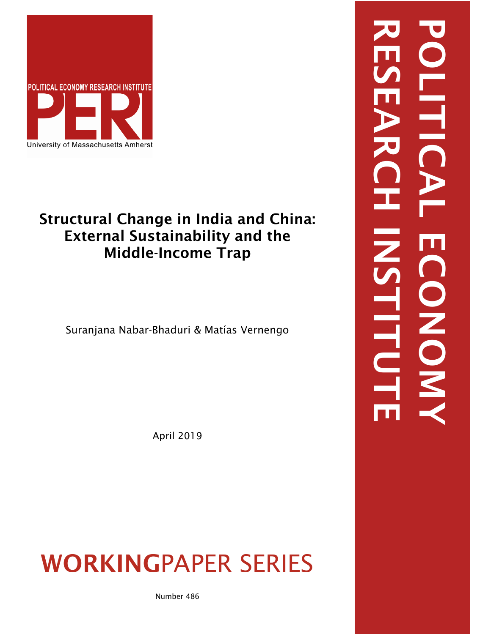

### Structural Change in India and China: External Sustainability and the Middle-Income Trap

Suranjana Nabar-Bhaduri & Matías Vernengo

April 2019

## WORKINGPAPER SERIES

Number 486

# RESEARCH INSTITUTE POLITICAL ECONOMYE LONON, **FITU**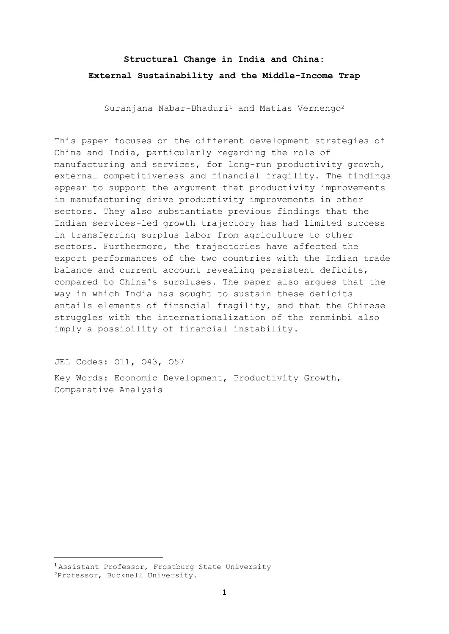#### **Structural Change in India and China: External Sustainability and the Middle-Income Trap**

Suranjana Nabar-Bhaduri<sup>1</sup> and Matías Vernengo<sup>2</sup>

This paper focuses on the different development strategies of China and India, particularly regarding the role of manufacturing and services, for long-run productivity growth, external competitiveness and financial fragility. The findings appear to support the argument that productivity improvements in manufacturing drive productivity improvements in other sectors. They also substantiate previous findings that the Indian services-led growth trajectory has had limited success in transferring surplus labor from agriculture to other sectors. Furthermore, the trajectories have affected the export performances of the two countries with the Indian trade balance and current account revealing persistent deficits, compared to China's surpluses. The paper also argues that the way in which India has sought to sustain these deficits entails elements of financial fragility, and that the Chinese struggles with the internationalization of the renminbi also imply a possibility of financial instability.

JEL Codes: O11, O43, O57

Key Words: Economic Development, Productivity Growth, Comparative Analysis

<sup>1</sup> Assistant Professor, Frostburg State University

<sup>2</sup>Professor, Bucknell University.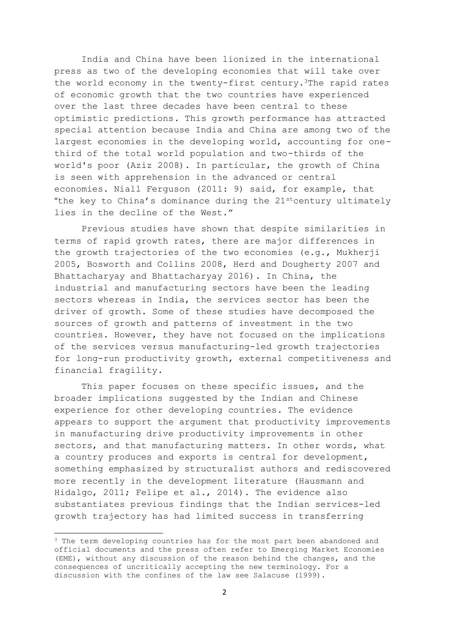India and China have been lionized in the international press as two of the developing economies that will take over the world economy in the twenty-first century.<sup>3</sup>The rapid rates of economic growth that the two countries have experienced over the last three decades have been central to these optimistic predictions. This growth performance has attracted special attention because India and China are among two of the largest economies in the developing world, accounting for onethird of the total world population and two-thirds of the world's poor (Aziz 2008). In particular, the growth of China is seen with apprehension in the advanced or central economies. Niall Ferguson (2011: 9) said, for example, that "the key to China's dominance during the  $21^{\text{st}}$ century ultimately lies in the decline of the West."

Previous studies have shown that despite similarities in terms of rapid growth rates, there are major differences in the growth trajectories of the two economies (e.g., Mukherji 2005, Bosworth and Collins 2008, Herd and Dougherty 2007 and Bhattacharyay and Bhattacharyay 2016). In China, the industrial and manufacturing sectors have been the leading sectors whereas in India, the services sector has been the driver of growth. Some of these studies have decomposed the sources of growth and patterns of investment in the two countries. However, they have not focused on the implications of the services versus manufacturing-led growth trajectories for long-run productivity growth, external competitiveness and financial fragility.

This paper focuses on these specific issues, and the broader implications suggested by the Indian and Chinese experience for other developing countries. The evidence appears to support the argument that productivity improvements in manufacturing drive productivity improvements in other sectors, and that manufacturing matters. In other words, what a country produces and exports is central for development, something emphasized by structuralist authors and rediscovered more recently in the development literature (Hausmann and Hidalgo, 2011; Felipe et al., 2014). The evidence also substantiates previous findings that the Indian services-led growth trajectory has had limited success in transferring

<sup>&</sup>lt;sup>3</sup> The term developing countries has for the most part been abandoned and official documents and the press often refer to Emerging Market Economies (EME), without any discussion of the reason behind the changes, and the consequences of uncritically accepting the new terminology. For a discussion with the confines of the law see Salacuse (1999).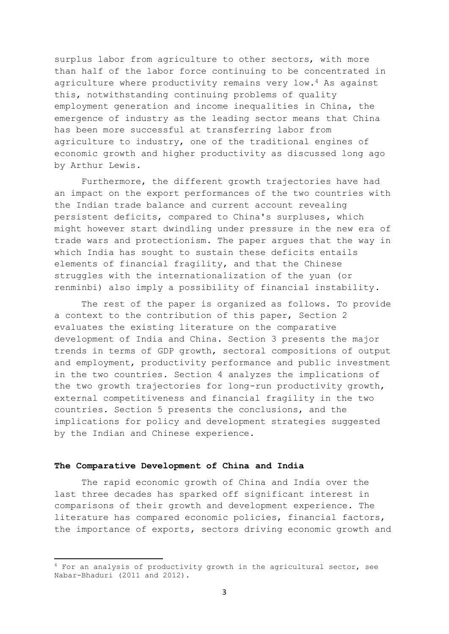surplus labor from agriculture to other sectors, with more than half of the labor force continuing to be concentrated in agriculture where productivity remains very low.<sup>4</sup> As against this, notwithstanding continuing problems of quality employment generation and income inequalities in China, the emergence of industry as the leading sector means that China has been more successful at transferring labor from agriculture to industry, one of the traditional engines of economic growth and higher productivity as discussed long ago by Arthur Lewis.

Furthermore, the different growth trajectories have had an impact on the export performances of the two countries with the Indian trade balance and current account revealing persistent deficits, compared to China's surpluses, which might however start dwindling under pressure in the new era of trade wars and protectionism. The paper argues that the way in which India has sought to sustain these deficits entails elements of financial fragility, and that the Chinese struggles with the internationalization of the yuan (or renminbi) also imply a possibility of financial instability.

The rest of the paper is organized as follows. To provide a context to the contribution of this paper, Section 2 evaluates the existing literature on the comparative development of India and China. Section 3 presents the major trends in terms of GDP growth, sectoral compositions of output and employment, productivity performance and public investment in the two countries. Section 4 analyzes the implications of the two growth trajectories for long-run productivity growth, external competitiveness and financial fragility in the two countries. Section 5 presents the conclusions, and the implications for policy and development strategies suggested by the Indian and Chinese experience.

#### **The Comparative Development of China and India**

.

The rapid economic growth of China and India over the last three decades has sparked off significant interest in comparisons of their growth and development experience. The literature has compared economic policies, financial factors, the importance of exports, sectors driving economic growth and

<sup>&</sup>lt;sup>4</sup> For an analysis of productivity growth in the agricultural sector, see Nabar-Bhaduri (2011 and 2012).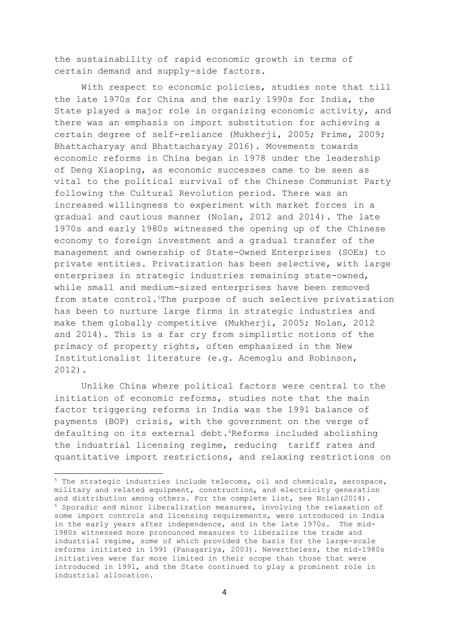the sustainability of rapid economic growth in terms of certain demand and supply-side factors.

With respect to economic policies, studies note that till the late 1970s for China and the early 1990s for India, the State played a major role in organizing economic activity, and there was an emphasis on import substitution for achieving a certain degree of self-reliance (Mukherji, 2005; Prime, 2009; Bhattacharyay and Bhattacharyay 2016). Movements towards economic reforms in China began in 1978 under the leadership of Deng Xiaoping, as economic successes came to be seen as vital to the political survival of the Chinese Communist Party following the Cultural Revolution period. There was an increased willingness to experiment with market forces in a gradual and cautious manner (Nolan, 2012 and 2014). The late 1970s and early 1980s witnessed the opening up of the Chinese economy to foreign investment and a gradual transfer of the management and ownership of State-Owned Enterprises (SOEs) to private entities. Privatization has been selective, with large enterprises in strategic industries remaining state-owned, while small and medium-sized enterprises have been removed from state control.<sup>5</sup>The purpose of such selective privatization has been to nurture large firms in strategic industries and make them globally competitive (Mukherji, 2005; Nolan, 2012 and 2014). This is a far cry from simplistic notions of the primacy of property rights, often emphasized in the New Institutionalist literature (e.g. Acemoglu and Robinson, 2012).

Unlike China where political factors were central to the initiation of economic reforms, studies note that the main factor triggering reforms in India was the 1991 balance of payments (BOP) crisis, with the government on the verge of defaulting on its external debt.<sup>6</sup>Reforms included abolishing the industrial licensing regime, reducing tariff rates and quantitative import restrictions, and relaxing restrictions on

<sup>&</sup>lt;sup>5</sup> The strategic industries include telecoms, oil and chemicals, aerospace, military and related equipment, construction, and electricity generation and distribution among others. For the complete list, see Nolan(2014).  $6$  Sporadic and minor liberalization measures, involving the relaxation of some import controls and licensing requirements, were introduced in India in the early years after independence, and in the late 1970s. The mid-1980s witnessed more pronounced measures to liberalize the trade and industrial regime, some of which provided the basis for the large-scale reforms initiated in 1991 (Panagariya, 2003). Nevertheless, the mid-1980s initiatives were far more limited in their scope than those that were introduced in 1991, and the State continued to play a prominent role in industrial allocation.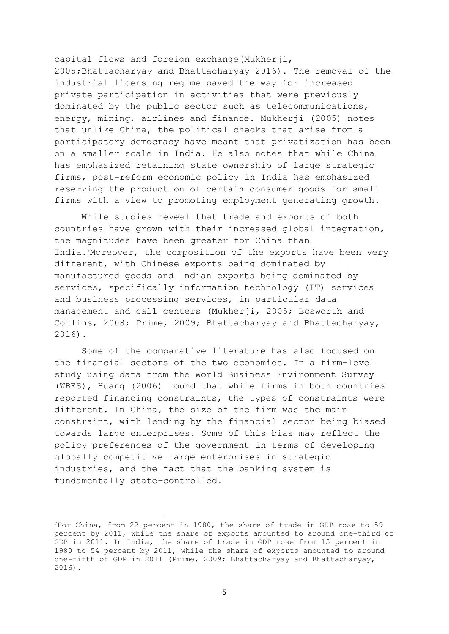capital flows and foreign exchange(Mukherji, 2005;Bhattacharyay and Bhattacharyay 2016). The removal of the industrial licensing regime paved the way for increased private participation in activities that were previously dominated by the public sector such as telecommunications, energy, mining, airlines and finance. Mukherji (2005) notes that unlike China, the political checks that arise from a participatory democracy have meant that privatization has been on a smaller scale in India. He also notes that while China has emphasized retaining state ownership of large strategic firms, post-reform economic policy in India has emphasized reserving the production of certain consumer goods for small firms with a view to promoting employment generating growth.

While studies reveal that trade and exports of both countries have grown with their increased global integration, the magnitudes have been greater for China than India.7Moreover, the composition of the exports have been very different, with Chinese exports being dominated by manufactured goods and Indian exports being dominated by services, specifically information technology (IT) services and business processing services, in particular data management and call centers (Mukherji, 2005; Bosworth and Collins, 2008; Prime, 2009; Bhattacharyay and Bhattacharyay, 2016).

Some of the comparative literature has also focused on the financial sectors of the two economies. In a firm-level study using data from the World Business Environment Survey (WBES), Huang (2006) found that while firms in both countries reported financing constraints, the types of constraints were different. In China, the size of the firm was the main constraint, with lending by the financial sector being biased towards large enterprises. Some of this bias may reflect the policy preferences of the government in terms of developing globally competitive large enterprises in strategic industries, and the fact that the banking system is fundamentally state-controlled.

<sup>7</sup>For China, from 22 percent in 1980, the share of trade in GDP rose to 59 percent by 2011, while the share of exports amounted to around one-third of GDP in 2011. In India, the share of trade in GDP rose from 15 percent in 1980 to 54 percent by 2011, while the share of exports amounted to around one-fifth of GDP in 2011 (Prime, 2009; Bhattacharyay and Bhattacharyay, 2016).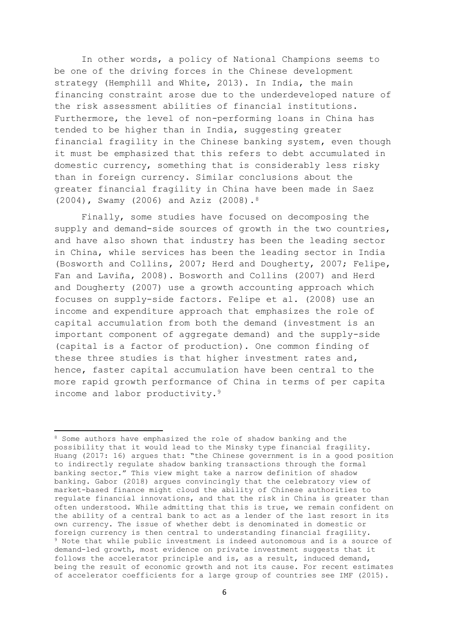In other words, a policy of National Champions seems to be one of the driving forces in the Chinese development strategy (Hemphill and White, 2013). In India, the main financing constraint arose due to the underdeveloped nature of the risk assessment abilities of financial institutions. Furthermore, the level of non-performing loans in China has tended to be higher than in India, suggesting greater financial fragility in the Chinese banking system, even though it must be emphasized that this refers to debt accumulated in domestic currency, something that is considerably less risky than in foreign currency. Similar conclusions about the greater financial fragility in China have been made in Saez (2004), Swamy (2006) and Aziz (2008).<sup>8</sup>

Finally, some studies have focused on decomposing the supply and demand-side sources of growth in the two countries, and have also shown that industry has been the leading sector in China, while services has been the leading sector in India (Bosworth and Collins, 2007; Herd and Dougherty, 2007; Felipe, Fan and Laviña, 2008). Bosworth and Collins (2007) and Herd and Dougherty (2007) use a growth accounting approach which focuses on supply-side factors. Felipe et al. (2008) use an income and expenditure approach that emphasizes the role of capital accumulation from both the demand (investment is an important component of aggregate demand) and the supply-side (capital is a factor of production). One common finding of these three studies is that higher investment rates and, hence, faster capital accumulation have been central to the more rapid growth performance of China in terms of per capita income and labor productivity.<sup>9</sup>

<sup>&</sup>lt;sup>8</sup> Some authors have emphasized the role of shadow banking and the possibility that it would lead to the Minsky type financial fragility. Huang (2017: 16) argues that: "the Chinese government is in a good position to indirectly regulate shadow banking transactions through the formal banking sector." This view might take a narrow definition of shadow banking. Gabor (2018) argues convincingly that the celebratory view of market-based finance might cloud the ability of Chinese authorities to regulate financial innovations, and that the risk in China is greater than often understood. While admitting that this is true, we remain confident on the ability of a central bank to act as a lender of the last resort in its own currency. The issue of whether debt is denominated in domestic or foreign currency is then central to understanding financial fragility. <sup>9</sup> Note that while public investment is indeed autonomous and is a source of demand-led growth, most evidence on private investment suggests that it follows the accelerator principle and is, as a result, induced demand, being the result of economic growth and not its cause. For recent estimates of accelerator coefficients for a large group of countries see IMF (2015).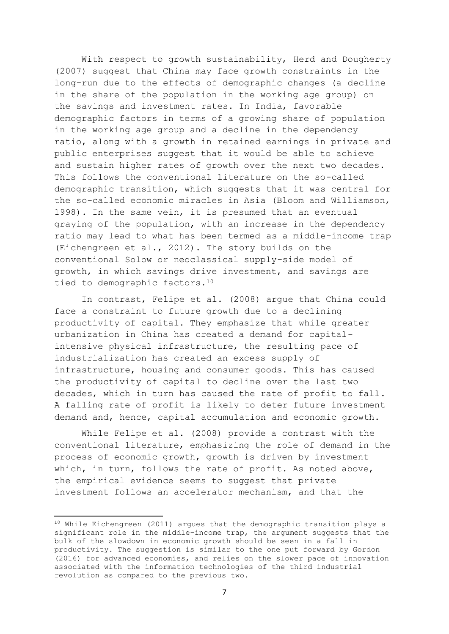With respect to growth sustainability, Herd and Dougherty (2007) suggest that China may face growth constraints in the long-run due to the effects of demographic changes (a decline in the share of the population in the working age group) on the savings and investment rates. In India, favorable demographic factors in terms of a growing share of population in the working age group and a decline in the dependency ratio, along with a growth in retained earnings in private and public enterprises suggest that it would be able to achieve and sustain higher rates of growth over the next two decades. This follows the conventional literature on the so-called demographic transition, which suggests that it was central for the so-called economic miracles in Asia (Bloom and Williamson, 1998). In the same vein, it is presumed that an eventual graying of the population, with an increase in the dependency ratio may lead to what has been termed as a middle-income trap (Eichengreen et al., 2012). The story builds on the conventional Solow or neoclassical supply-side model of growth, in which savings drive investment, and savings are tied to demographic factors.<sup>10</sup>

In contrast, Felipe et al. (2008) argue that China could face a constraint to future growth due to a declining productivity of capital. They emphasize that while greater urbanization in China has created a demand for capitalintensive physical infrastructure, the resulting pace of industrialization has created an excess supply of infrastructure, housing and consumer goods. This has caused the productivity of capital to decline over the last two decades, which in turn has caused the rate of profit to fall. A falling rate of profit is likely to deter future investment demand and, hence, capital accumulation and economic growth.

While Felipe et al. (2008) provide a contrast with the conventional literature, emphasizing the role of demand in the process of economic growth, growth is driven by investment which, in turn, follows the rate of profit. As noted above, the empirical evidence seems to suggest that private investment follows an accelerator mechanism, and that the

 $10$  While Eichengreen (2011) argues that the demographic transition plays a significant role in the middle-income trap, the argument suggests that the bulk of the slowdown in economic growth should be seen in a fall in productivity. The suggestion is similar to the one put forward by Gordon (2016) for advanced economies, and relies on the slower pace of innovation associated with the information technologies of the third industrial revolution as compared to the previous two.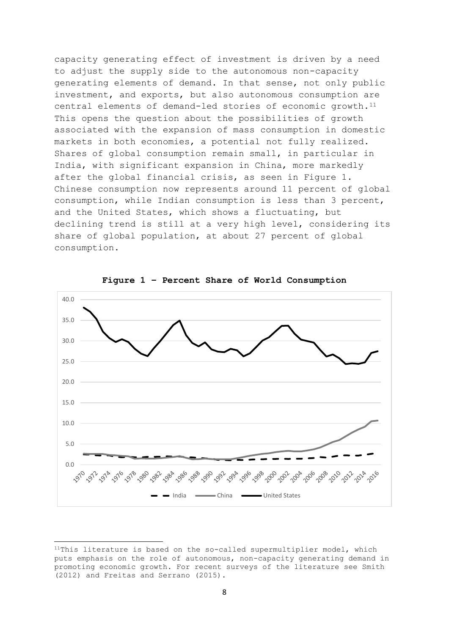capacity generating effect of investment is driven by a need to adjust the supply side to the autonomous non-capacity generating elements of demand. In that sense, not only public investment, and exports, but also autonomous consumption are central elements of demand-led stories of economic growth.<sup>11</sup> This opens the question about the possibilities of growth associated with the expansion of mass consumption in domestic markets in both economies, a potential not fully realized. Shares of global consumption remain small, in particular in India, with significant expansion in China, more markedly after the global financial crisis, as seen in Figure 1. Chinese consumption now represents around 11 percent of global consumption, while Indian consumption is less than 3 percent, and the United States, which shows a fluctuating, but declining trend is still at a very high level, considering its share of global population, at about 27 percent of global consumption.



**Figure 1 – Percent Share of World Consumption**

<sup>&</sup>lt;sup>11</sup>This literature is based on the so-called supermultiplier model, which puts emphasis on the role of autonomous, non-capacity generating demand in promoting economic growth. For recent surveys of the literature see Smith (2012) and Freitas and Serrano (2015).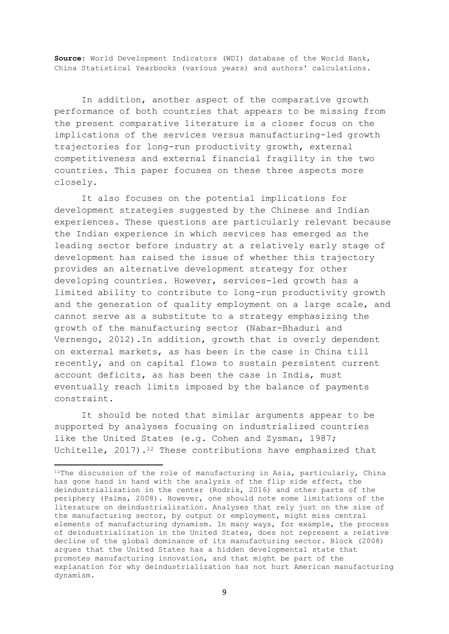**Source**: World Development Indicators (WDI) database of the World Bank, China Statistical Yearbooks (various years) and authors' calculations.

In addition, another aspect of the comparative growth performance of both countries that appears to be missing from the present comparative literature is a closer focus on the implications of the services versus manufacturing-led growth trajectories for long-run productivity growth, external competitiveness and external financial fragility in the two countries. This paper focuses on these three aspects more closely.

It also focuses on the potential implications for development strategies suggested by the Chinese and Indian experiences. These questions are particularly relevant because the Indian experience in which services has emerged as the leading sector before industry at a relatively early stage of development has raised the issue of whether this trajectory provides an alternative development strategy for other developing countries. However, services-led growth has a limited ability to contribute to long-run productivity growth and the generation of quality employment on a large scale, and cannot serve as a substitute to a strategy emphasizing the growth of the manufacturing sector (Nabar-Bhaduri and Vernengo, 2012).In addition, growth that is overly dependent on external markets, as has been in the case in China till recently, and on capital flows to sustain persistent current account deficits, as has been the case in India, must eventually reach limits imposed by the balance of payments constraint.

It should be noted that similar arguments appear to be supported by analyses focusing on industrialized countries like the United States (e.g. Cohen and Zysman, 1987; Uchitelle, 2017).<sup>12</sup> These contributions have emphasized that

 $12$ The discussion of the role of manufacturing in Asia, particularly, China has gone hand in hand with the analysis of the flip side effect, the deindustrialization in the center (Rodrik, 2016) and other parts of the periphery (Palma, 2008). However, one should note some limitations of the literature on deindustrialization. Analyses that rely just on the size of the manufacturing sector, by output or employment, might miss central elements of manufacturing dynamism. In many ways, for example, the process of deindustrialization in the United States, does not represent a relative decline of the global dominance of its manufacturing sector. Block (2008) argues that the United States has a hidden developmental state that promotes manufacturing innovation, and that might be part of the explanation for why deindustrialization has not hurt American manufacturing dynamism.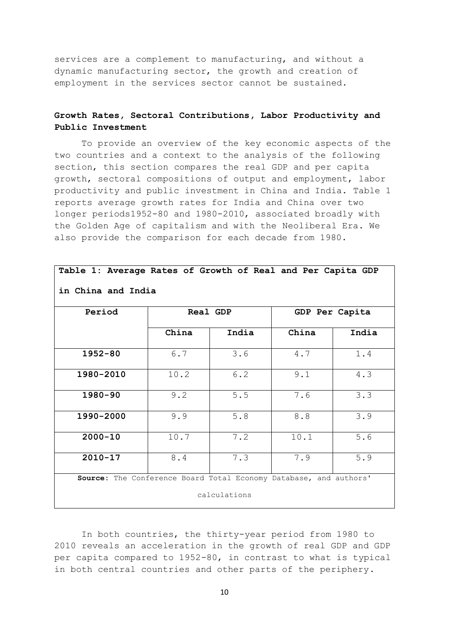services are a complement to manufacturing, and without a dynamic manufacturing sector, the growth and creation of employment in the services sector cannot be sustained.

#### **Growth Rates, Sectoral Contributions, Labor Productivity and Public Investment**

To provide an overview of the key economic aspects of the two countries and a context to the analysis of the following section, this section compares the real GDP and per capita growth, sectoral compositions of output and employment, labor productivity and public investment in China and India. Table 1 reports average growth rates for India and China over two longer periods1952-80 and 1980-2010, associated broadly with the Golden Age of capitalism and with the Neoliberal Era. We also provide the comparison for each decade from 1980.

**Table 1: Average Rates of Growth of Real and Per Capita GDP** 

| Period                                                                            | Real GDP |       | GDP Per Capita |       |
|-----------------------------------------------------------------------------------|----------|-------|----------------|-------|
|                                                                                   | China    | India | China          | India |
| $1952 - 80$                                                                       | 6.7      | 3.6   | 4.7            | 1.4   |
| 1980-2010                                                                         | 10.2     | 6.2   | 9.1            | 4.3   |
| $1980 - 90$                                                                       | 9.2      | 5.5   | 7.6            | 3.3   |
| 1990-2000                                                                         | 9.9      | 5.8   | 8.8            | 3.9   |
| $2000 - 10$                                                                       | 10.7     | 7.2   | 10.1           | 5.6   |
| $2010 - 17$                                                                       | 8.4      | 7.3   | 7.9            | 5.9   |
|                                                                                   |          |       |                |       |
| Source: The Conference Board Total Economy Database, and authors'<br>calculations |          |       |                |       |

**in China and India** 

In both countries, the thirty-year period from 1980 to 2010 reveals an acceleration in the growth of real GDP and GDP per capita compared to 1952-80, in contrast to what is typical in both central countries and other parts of the periphery.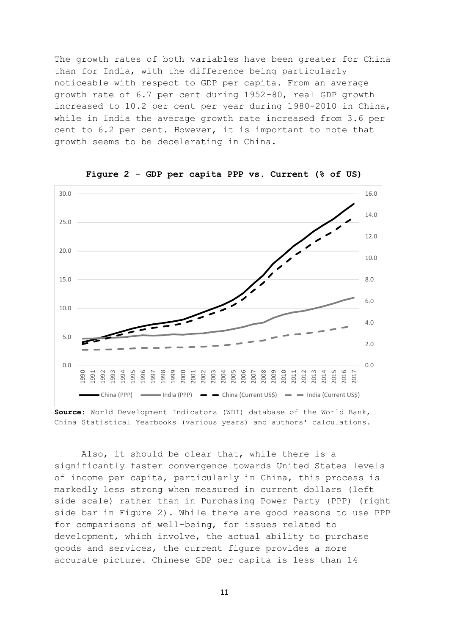The growth rates of both variables have been greater for China than for India, with the difference being particularly noticeable with respect to GDP per capita. From an average growth rate of 6.7 per cent during 1952-80, real GDP growth increased to 10.2 per cent per year during 1980-2010 in China, while in India the average growth rate increased from 3.6 per cent to 6.2 per cent. However, it is important to note that growth seems to be decelerating in China.



**Figure 2 - GDP per capita PPP vs. Current (% of US)**

Also, it should be clear that, while there is a significantly faster convergence towards United States levels of income per capita, particularly in China, this process is markedly less strong when measured in current dollars (left side scale) rather than in Purchasing Power Party (PPP) (right side bar in Figure 2). While there are good reasons to use PPP for comparisons of well-being, for issues related to development, which involve, the actual ability to purchase goods and services, the current figure provides a more accurate picture. Chinese GDP per capita is less than 14

**Source**: World Development Indicators (WDI) database of the World Bank, China Statistical Yearbooks (various years) and authors' calculations.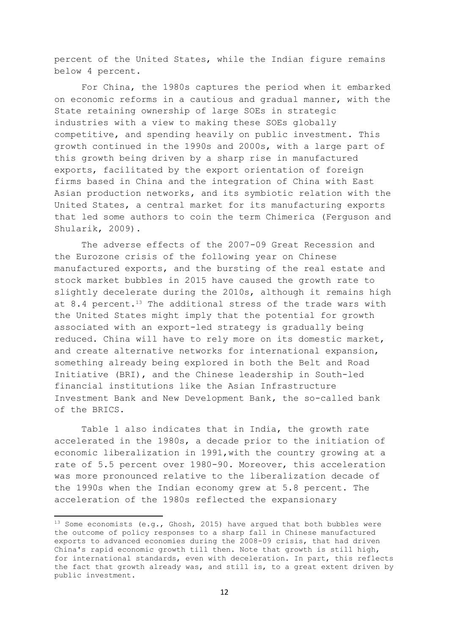percent of the United States, while the Indian figure remains below 4 percent.

For China, the 1980s captures the period when it embarked on economic reforms in a cautious and gradual manner, with the State retaining ownership of large SOEs in strategic industries with a view to making these SOEs globally competitive, and spending heavily on public investment. This growth continued in the 1990s and 2000s, with a large part of this growth being driven by a sharp rise in manufactured exports, facilitated by the export orientation of foreign firms based in China and the integration of China with East Asian production networks, and its symbiotic relation with the United States, a central market for its manufacturing exports that led some authors to coin the term Chimerica (Ferguson and Shularik, 2009).

The adverse effects of the 2007-09 Great Recession and the Eurozone crisis of the following year on Chinese manufactured exports, and the bursting of the real estate and stock market bubbles in 2015 have caused the growth rate to slightly decelerate during the 2010s, although it remains high at 8.4 percent.<sup>13</sup> The additional stress of the trade wars with the United States might imply that the potential for growth associated with an export-led strategy is gradually being reduced. China will have to rely more on its domestic market, and create alternative networks for international expansion, something already being explored in both the Belt and Road Initiative (BRI), and the Chinese leadership in South-led financial institutions like the Asian Infrastructure Investment Bank and New Development Bank, the so-called bank of the BRICS.

Table 1 also indicates that in India, the growth rate accelerated in the 1980s, a decade prior to the initiation of economic liberalization in 1991,with the country growing at a rate of 5.5 percent over 1980-90. Moreover, this acceleration was more pronounced relative to the liberalization decade of the 1990s when the Indian economy grew at 5.8 percent. The acceleration of the 1980s reflected the expansionary

<sup>&</sup>lt;sup>13</sup> Some economists (e.g., Ghosh, 2015) have argued that both bubbles were the outcome of policy responses to a sharp fall in Chinese manufactured exports to advanced economies during the 2008-09 crisis, that had driven China's rapid economic growth till then. Note that growth is still high, for international standards, even with deceleration. In part, this reflects the fact that growth already was, and still is, to a great extent driven by public investment.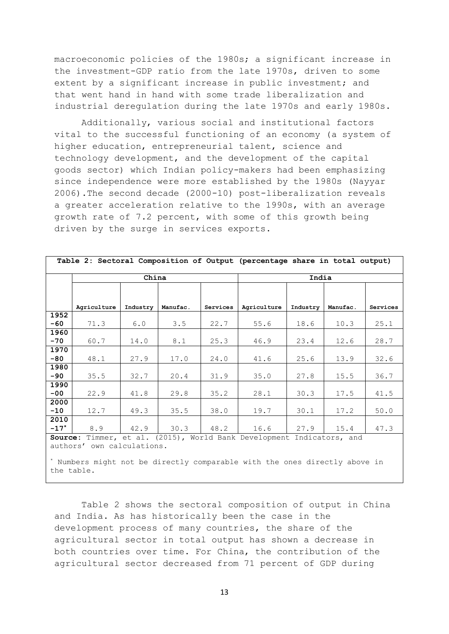macroeconomic policies of the 1980s; a significant increase in the investment-GDP ratio from the late 1970s, driven to some extent by a significant increase in public investment; and that went hand in hand with some trade liberalization and industrial deregulation during the late 1970s and early 1980s.

Additionally, various social and institutional factors vital to the successful functioning of an economy (a system of higher education, entrepreneurial talent, science and technology development, and the development of the capital goods sector) which Indian policy-makers had been emphasizing since independence were more established by the 1980s (Nayyar 2006).The second decade (2000-10) post-liberalization reveals a greater acceleration relative to the 1990s, with an average growth rate of 7.2 percent, with some of this growth being driven by the surge in services exports.

|                                                                       | China       |          |          | India    |             |          |          |          |
|-----------------------------------------------------------------------|-------------|----------|----------|----------|-------------|----------|----------|----------|
|                                                                       |             |          |          |          |             |          |          |          |
|                                                                       |             |          |          |          |             |          |          |          |
|                                                                       | Agriculture | Industry | Manufac. | Services | Agriculture | Industry | Manufac. | Services |
| 1952                                                                  |             |          |          |          |             |          |          |          |
| $-60$                                                                 | 71.3        | 6.0      | 3.5      | 22.7     | 55.6        | 18.6     | 10.3     | 25.1     |
| 1960                                                                  |             |          |          |          |             |          |          |          |
| $-70$                                                                 | 60.7        | 14.0     | 8.1      | 25.3     | 46.9        | 23.4     | 12.6     | 28.7     |
| 1970                                                                  |             |          |          |          |             |          |          |          |
| $-80$                                                                 | 48.1        | 27.9     | 17.0     | 24.0     | 41.6        | 25.6     | 13.9     | 32.6     |
| 1980                                                                  |             |          |          |          |             |          |          |          |
| $-90$                                                                 | 35.5        | 32.7     | 20.4     | 31.9     | 35.0        | 27.8     | 15.5     | 36.7     |
| 1990                                                                  |             |          |          |          |             |          |          |          |
| $-00$                                                                 | 22.9        | 41.8     | 29.8     | 35.2     | 28.1        | 30.3     | 17.5     | 41.5     |
| 2000                                                                  |             |          |          |          |             |          |          |          |
| $-10$                                                                 | 12.7        | 49.3     | 35.5     | 38.0     | 19.7        | 30.1     | 17.2     | 50.0     |
| 2010                                                                  |             |          |          |          |             |          |          |          |
| $-17*$                                                                | 8.9         | 42.9     | 30.3     | 48.2     | 16.6        | 27.9     | 15.4     | 47.3     |
| Source: Timmer, et al. (2015), World Bank Development Indicators, and |             |          |          |          |             |          |          |          |
| authors' own calculations.                                            |             |          |          |          |             |          |          |          |

**Table 2: Sectoral Composition of Output (percentage share in total output)**

\* Numbers might not be directly comparable with the ones directly above in the table.

Table 2 shows the sectoral composition of output in China and India. As has historically been the case in the development process of many countries, the share of the agricultural sector in total output has shown a decrease in both countries over time. For China, the contribution of the agricultural sector decreased from 71 percent of GDP during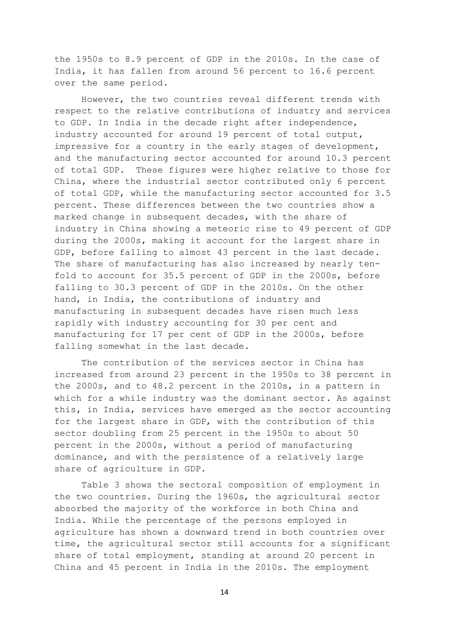the 1950s to 8.9 percent of GDP in the 2010s. In the case of India, it has fallen from around 56 percent to 16.6 percent over the same period.

However, the two countries reveal different trends with respect to the relative contributions of industry and services to GDP. In India in the decade right after independence, industry accounted for around 19 percent of total output, impressive for a country in the early stages of development, and the manufacturing sector accounted for around 10.3 percent of total GDP. These figures were higher relative to those for China, where the industrial sector contributed only 6 percent of total GDP, while the manufacturing sector accounted for 3.5 percent. These differences between the two countries show a marked change in subsequent decades, with the share of industry in China showing a meteoric rise to 49 percent of GDP during the 2000s, making it account for the largest share in GDP, before falling to almost 43 percent in the last decade. The share of manufacturing has also increased by nearly tenfold to account for 35.5 percent of GDP in the 2000s, before falling to 30.3 percent of GDP in the 2010s. On the other hand, in India, the contributions of industry and manufacturing in subsequent decades have risen much less rapidly with industry accounting for 30 per cent and manufacturing for 17 per cent of GDP in the 2000s, before falling somewhat in the last decade.

The contribution of the services sector in China has increased from around 23 percent in the 1950s to 38 percent in the 2000s, and to 48.2 percent in the 2010s, in a pattern in which for a while industry was the dominant sector. As against this, in India, services have emerged as the sector accounting for the largest share in GDP, with the contribution of this sector doubling from 25 percent in the 1950s to about 50 percent in the 2000s, without a period of manufacturing dominance, and with the persistence of a relatively large share of agriculture in GDP.

Table 3 shows the sectoral composition of employment in the two countries. During the 1960s, the agricultural sector absorbed the majority of the workforce in both China and India. While the percentage of the persons employed in agriculture has shown a downward trend in both countries over time, the agricultural sector still accounts for a significant share of total employment, standing at around 20 percent in China and 45 percent in India in the 2010s. The employment

14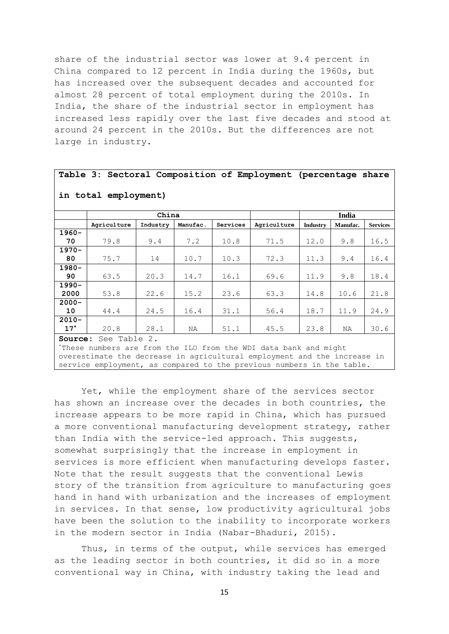share of the industrial sector was lower at 9.4 percent in China compared to 12 percent in India during the 1960s, but has increased over the subsequent decades and accounted for almost 28 percent of total employment during the 2010s. In India, the share of the industrial sector in employment has increased less rapidly over the last five decades and stood at around 24 percent in the 2010s. But the differences are not large in industry.

#### **Table 3: Sectoral Composition of Employment (percentage share in total employment) China India Agriculture Industry Manufac. Services Agriculture Industry Manufac. Services 1960- 70** 79.8 9.4 7.2 10.8 71.5 12.0 9.8 16.5 **1970- 80** 75.7 14 10.7 10.3 72.3 11.3 9.4 16.4 **1980- 90** 63.5 20.3 14.7 16.1 69.6 11.9 9.8 18.4 **1990- 2000** 53.8 22.6 15.2 23.6 63.3 14.8 10.6 21.8 **2000- 10** 44.4 24.5 16.4 31.1 56.4 18.7 11.9 24.9 **2010- 17\*** 20.8 28.1 NA 51.1 45.5 23.8 NA 30.6 **Source:** See Table 2.

\*These numbers are from the ILO from the WDI data bank and might overestimate the decrease in agricultural employment and the increase in service employment, as compared to the previous numbers in the table.

Yet, while the employment share of the services sector has shown an increase over the decades in both countries, the increase appears to be more rapid in China, which has pursued a more conventional manufacturing development strategy, rather than India with the service-led approach. This suggests, somewhat surprisingly that the increase in employment in services is more efficient when manufacturing develops faster. Note that the result suggests that the conventional Lewis story of the transition from agriculture to manufacturing goes hand in hand with urbanization and the increases of employment in services. In that sense, low productivity agricultural jobs have been the solution to the inability to incorporate workers in the modern sector in India (Nabar-Bhaduri, 2015).

Thus, in terms of the output, while services has emerged as the leading sector in both countries, it did so in a more conventional way in China, with industry taking the lead and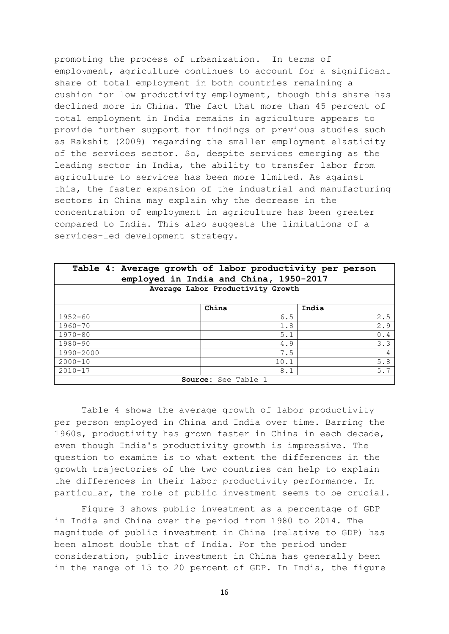promoting the process of urbanization. In terms of employment, agriculture continues to account for a significant share of total employment in both countries remaining a cushion for low productivity employment, though this share has declined more in China. The fact that more than 45 percent of total employment in India remains in agriculture appears to provide further support for findings of previous studies such as Rakshit (2009) regarding the smaller employment elasticity of the services sector. So, despite services emerging as the leading sector in India, the ability to transfer labor from agriculture to services has been more limited. As against this, the faster expansion of the industrial and manufacturing sectors in China may explain why the decrease in the concentration of employment in agriculture has been greater compared to India. This also suggests the limitations of a services-led development strategy.

| Table 4: Average growth of labor productivity per person<br>employed in India and China, 1950-2017 |       |      |                |  |  |
|----------------------------------------------------------------------------------------------------|-------|------|----------------|--|--|
| Average Labor Productivity Growth                                                                  |       |      |                |  |  |
|                                                                                                    | China |      | India          |  |  |
| $1952 - 60$                                                                                        |       | 6.5  | 2.5            |  |  |
| 1960-70                                                                                            |       | 1.8  | 2.9            |  |  |
| $1970 - 80$                                                                                        |       | 5.1  | 0.4            |  |  |
| 1980-90                                                                                            |       | 4.9  | 3.3            |  |  |
| 1990-2000                                                                                          |       | 7.5  | $\overline{4}$ |  |  |
| $2000 - 10$                                                                                        |       | 10.1 | 5.8            |  |  |
| $2010 - 17$                                                                                        |       | 8.1  | 5.7            |  |  |
| Source: See Table 1                                                                                |       |      |                |  |  |

Table 4 shows the average growth of labor productivity per person employed in China and India over time. Barring the 1960s, productivity has grown faster in China in each decade, even though India's productivity growth is impressive. The question to examine is to what extent the differences in the growth trajectories of the two countries can help to explain the differences in their labor productivity performance. In particular, the role of public investment seems to be crucial.

Figure 3 shows public investment as a percentage of GDP in India and China over the period from 1980 to 2014. The magnitude of public investment in China (relative to GDP) has been almost double that of India. For the period under consideration, public investment in China has generally been in the range of 15 to 20 percent of GDP. In India, the figure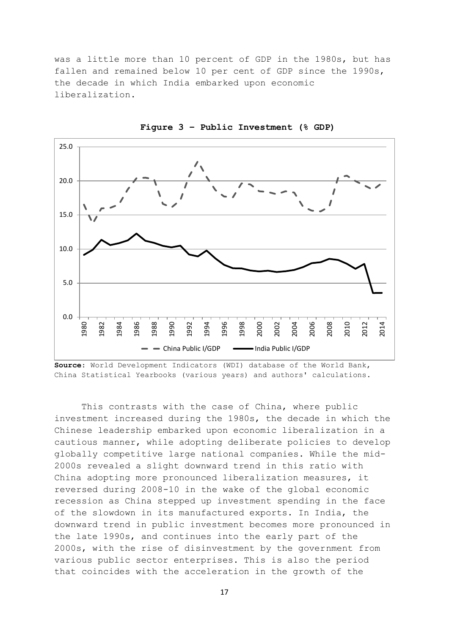was a little more than 10 percent of GDP in the 1980s, but has fallen and remained below 10 per cent of GDP since the 1990s, the decade in which India embarked upon economic liberalization.



**Figure 3 – Public Investment (% GDP)**

**Source**: World Development Indicators (WDI) database of the World Bank, China Statistical Yearbooks (various years) and authors' calculations.

This contrasts with the case of China, where public investment increased during the 1980s, the decade in which the Chinese leadership embarked upon economic liberalization in a cautious manner, while adopting deliberate policies to develop globally competitive large national companies. While the mid-2000s revealed a slight downward trend in this ratio with China adopting more pronounced liberalization measures, it reversed during 2008-10 in the wake of the global economic recession as China stepped up investment spending in the face of the slowdown in its manufactured exports. In India, the downward trend in public investment becomes more pronounced in the late 1990s, and continues into the early part of the 2000s, with the rise of disinvestment by the government from various public sector enterprises. This is also the period that coincides with the acceleration in the growth of the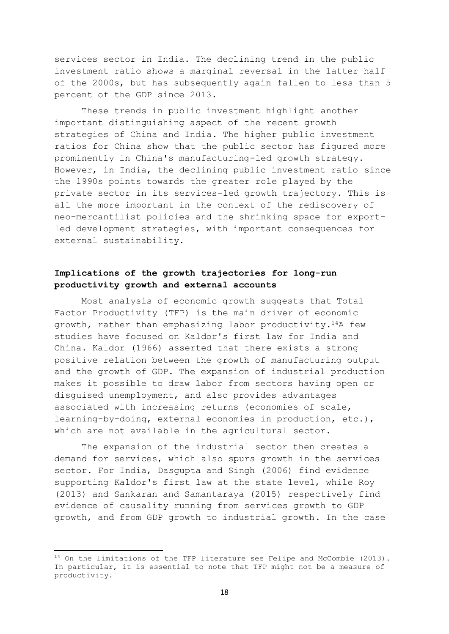services sector in India. The declining trend in the public investment ratio shows a marginal reversal in the latter half of the 2000s, but has subsequently again fallen to less than 5 percent of the GDP since 2013.

These trends in public investment highlight another important distinguishing aspect of the recent growth strategies of China and India. The higher public investment ratios for China show that the public sector has figured more prominently in China's manufacturing-led growth strategy. However, in India, the declining public investment ratio since the 1990s points towards the greater role played by the private sector in its services-led growth trajectory. This is all the more important in the context of the rediscovery of neo-mercantilist policies and the shrinking space for exportled development strategies, with important consequences for external sustainability.

#### **Implications of the growth trajectories for long-run productivity growth and external accounts**

Most analysis of economic growth suggests that Total Factor Productivity (TFP) is the main driver of economic growth, rather than emphasizing labor productivity.14A few studies have focused on Kaldor's first law for India and China. Kaldor (1966) asserted that there exists a strong positive relation between the growth of manufacturing output and the growth of GDP. The expansion of industrial production makes it possible to draw labor from sectors having open or disguised unemployment, and also provides advantages associated with increasing returns (economies of scale, learning-by-doing, external economies in production, etc.), which are not available in the agricultural sector.

The expansion of the industrial sector then creates a demand for services, which also spurs growth in the services sector. For India, Dasgupta and Singh (2006) find evidence supporting Kaldor's first law at the state level, while Roy (2013) and Sankaran and Samantaraya (2015) respectively find evidence of causality running from services growth to GDP growth, and from GDP growth to industrial growth. In the case

 $14$  On the limitations of the TFP literature see Felipe and McCombie (2013). In particular, it is essential to note that TFP might not be a measure of productivity.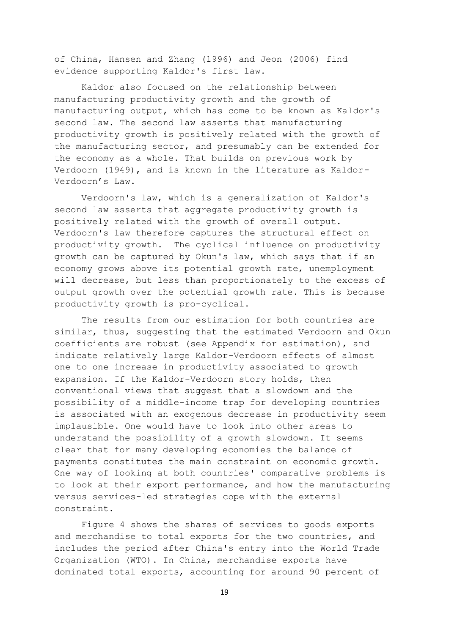of China, Hansen and Zhang (1996) and Jeon (2006) find evidence supporting Kaldor's first law.

Kaldor also focused on the relationship between manufacturing productivity growth and the growth of manufacturing output, which has come to be known as Kaldor's second law. The second law asserts that manufacturing productivity growth is positively related with the growth of the manufacturing sector, and presumably can be extended for the economy as a whole. That builds on previous work by Verdoorn (1949), and is known in the literature as Kaldor-Verdoorn's Law.

Verdoorn's law, which is a generalization of Kaldor's second law asserts that aggregate productivity growth is positively related with the growth of overall output. Verdoorn's law therefore captures the structural effect on productivity growth. The cyclical influence on productivity growth can be captured by Okun's law, which says that if an economy grows above its potential growth rate, unemployment will decrease, but less than proportionately to the excess of output growth over the potential growth rate. This is because productivity growth is pro-cyclical.

The results from our estimation for both countries are similar, thus, suggesting that the estimated Verdoorn and Okun coefficients are robust (see Appendix for estimation), and indicate relatively large Kaldor-Verdoorn effects of almost one to one increase in productivity associated to growth expansion. If the Kaldor-Verdoorn story holds, then conventional views that suggest that a slowdown and the possibility of a middle-income trap for developing countries is associated with an exogenous decrease in productivity seem implausible. One would have to look into other areas to understand the possibility of a growth slowdown. It seems clear that for many developing economies the balance of payments constitutes the main constraint on economic growth. One way of looking at both countries' comparative problems is to look at their export performance, and how the manufacturing versus services-led strategies cope with the external constraint.

Figure 4 shows the shares of services to goods exports and merchandise to total exports for the two countries, and includes the period after China's entry into the World Trade Organization (WTO). In China, merchandise exports have dominated total exports, accounting for around 90 percent of

19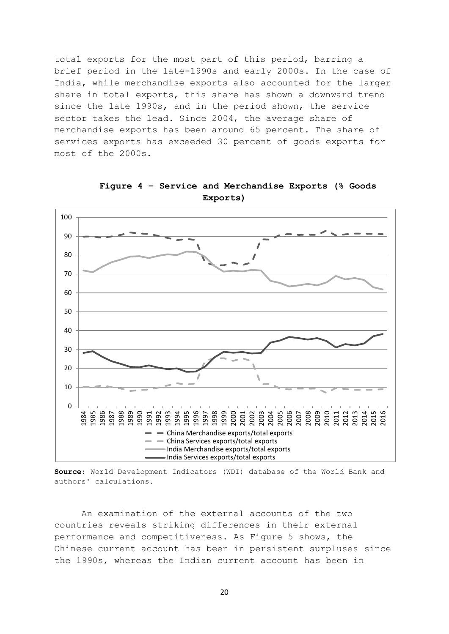total exports for the most part of this period, barring a brief period in the late-1990s and early 2000s. In the case of India, while merchandise exports also accounted for the larger share in total exports, this share has shown a downward trend since the late 1990s, and in the period shown, the service sector takes the lead. Since 2004, the average share of merchandise exports has been around 65 percent. The share of services exports has exceeded 30 percent of goods exports for most of the 2000s.



**Figure 4 – Service and Merchandise Exports (% Goods Exports)**

**Source**: World Development Indicators (WDI) database of the World Bank and authors' calculations.

An examination of the external accounts of the two countries reveals striking differences in their external performance and competitiveness. As Figure 5 shows, the Chinese current account has been in persistent surpluses since the 1990s, whereas the Indian current account has been in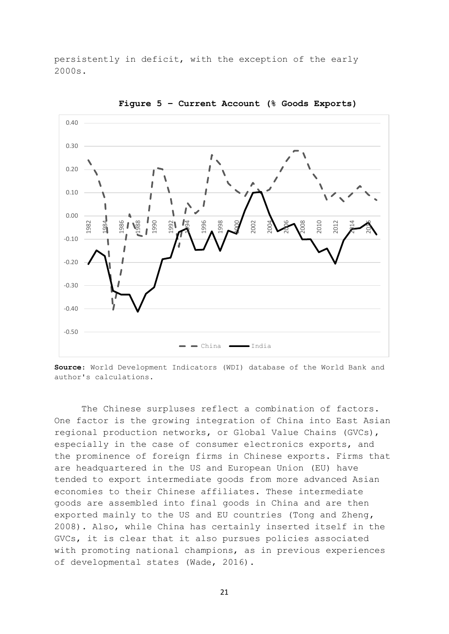persistently in deficit, with the exception of the early 2000s.



**Figure 5 – Current Account (% Goods Exports)**

**Source**: World Development Indicators (WDI) database of the World Bank and author's calculations.

The Chinese surpluses reflect a combination of factors. One factor is the growing integration of China into East Asian regional production networks, or Global Value Chains (GVCs), especially in the case of consumer electronics exports, and the prominence of foreign firms in Chinese exports. Firms that are headquartered in the US and European Union (EU) have tended to export intermediate goods from more advanced Asian economies to their Chinese affiliates. These intermediate goods are assembled into final goods in China and are then exported mainly to the US and EU countries (Tong and Zheng, 2008). Also, while China has certainly inserted itself in the GVCs, it is clear that it also pursues policies associated with promoting national champions, as in previous experiences of developmental states (Wade, 2016).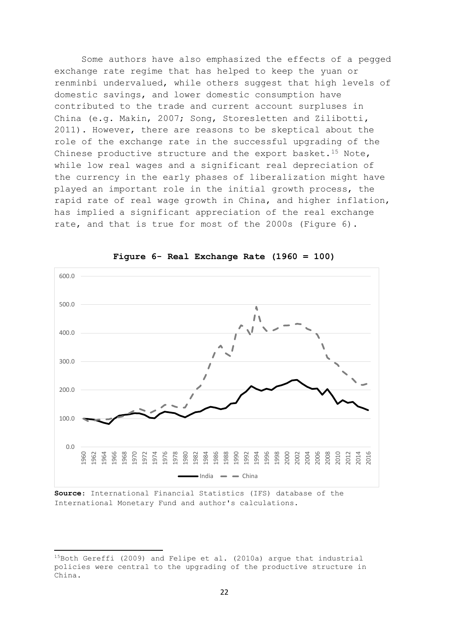Some authors have also emphasized the effects of a pegged exchange rate regime that has helped to keep the yuan or renminbi undervalued, while others suggest that high levels of domestic savings, and lower domestic consumption have contributed to the trade and current account surpluses in China (e.g. Makin, 2007; Song, Storesletten and Zilibotti, 2011). However, there are reasons to be skeptical about the role of the exchange rate in the successful upgrading of the Chinese productive structure and the export basket.<sup>15</sup> Note, while low real wages and a significant real depreciation of the currency in the early phases of liberalization might have played an important role in the initial growth process, the rapid rate of real wage growth in China, and higher inflation, has implied a significant appreciation of the real exchange rate, and that is true for most of the 2000s (Figure 6).



**Figure 6- Real Exchange Rate (1960 = 100)**

**Source**: International Financial Statistics (IFS) database of the International Monetary Fund and author's calculations.

<sup>15</sup>Both Gereffi (2009) and Felipe et al. (2010a) argue that industrial policies were central to the upgrading of the productive structure in China.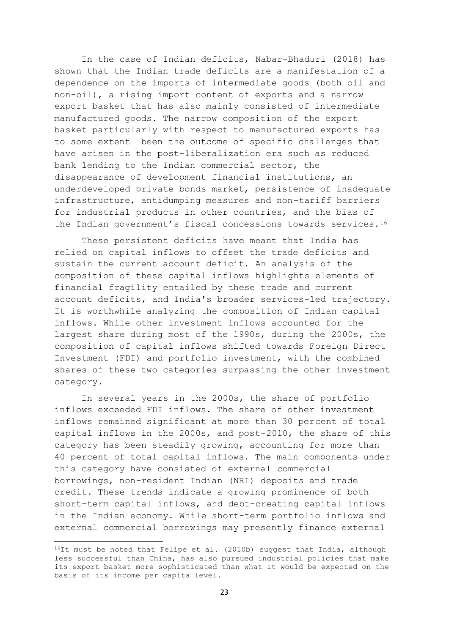In the case of Indian deficits, Nabar-Bhaduri (2018) has shown that the Indian trade deficits are a manifestation of a dependence on the imports of intermediate goods (both oil and non-oil), a rising import content of exports and a narrow export basket that has also mainly consisted of intermediate manufactured goods. The narrow composition of the export basket particularly with respect to manufactured exports has to some extent been the outcome of specific challenges that have arisen in the post-liberalization era such as reduced bank lending to the Indian commercial sector, the disappearance of development financial institutions, an underdeveloped private bonds market, persistence of inadequate infrastructure, antidumping measures and non-tariff barriers for industrial products in other countries, and the bias of the Indian government's fiscal concessions towards services.<sup>16</sup>

These persistent deficits have meant that India has relied on capital inflows to offset the trade deficits and sustain the current account deficit. An analysis of the composition of these capital inflows highlights elements of financial fragility entailed by these trade and current account deficits, and India's broader services-led trajectory. It is worthwhile analyzing the composition of Indian capital inflows. While other investment inflows accounted for the largest share during most of the 1990s, during the 2000s, the composition of capital inflows shifted towards Foreign Direct Investment (FDI) and portfolio investment, with the combined shares of these two categories surpassing the other investment category.

In several years in the 2000s, the share of portfolio inflows exceeded FDI inflows. The share of other investment inflows remained significant at more than 30 percent of total capital inflows in the 2000s, and post-2010, the share of this category has been steadily growing, accounting for more than 40 percent of total capital inflows. The main components under this category have consisted of external commercial borrowings, non-resident Indian (NRI) deposits and trade credit. These trends indicate a growing prominence of both short-term capital inflows, and debt-creating capital inflows in the Indian economy. While short-term portfolio inflows and external commercial borrowings may presently finance external

<sup>&</sup>lt;sup>16</sup>It must be noted that Felipe et al. (2010b) suggest that India, although less successful than China, has also pursued industrial policies that make its export basket more sophisticated than what it would be expected on the basis of its income per capita level.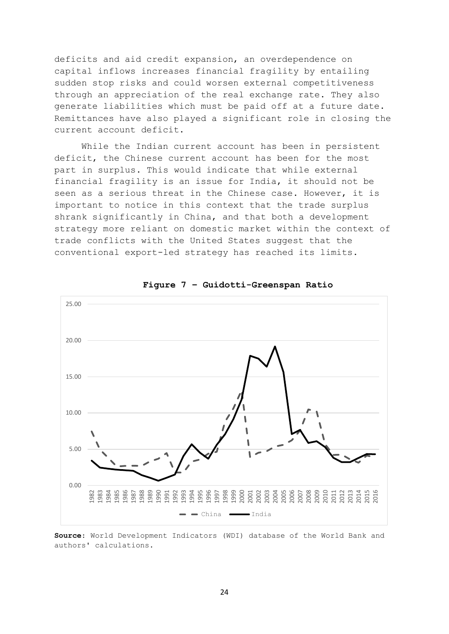deficits and aid credit expansion, an overdependence on capital inflows increases financial fragility by entailing sudden stop risks and could worsen external competitiveness through an appreciation of the real exchange rate. They also generate liabilities which must be paid off at a future date. Remittances have also played a significant role in closing the current account deficit.

While the Indian current account has been in persistent deficit, the Chinese current account has been for the most part in surplus. This would indicate that while external financial fragility is an issue for India, it should not be seen as a serious threat in the Chinese case. However, it is important to notice in this context that the trade surplus shrank significantly in China, and that both a development strategy more reliant on domestic market within the context of trade conflicts with the United States suggest that the conventional export-led strategy has reached its limits.



**Figure 7 – Guidotti-Greenspan Ratio**

**Source**: World Development Indicators (WDI) database of the World Bank and authors' calculations.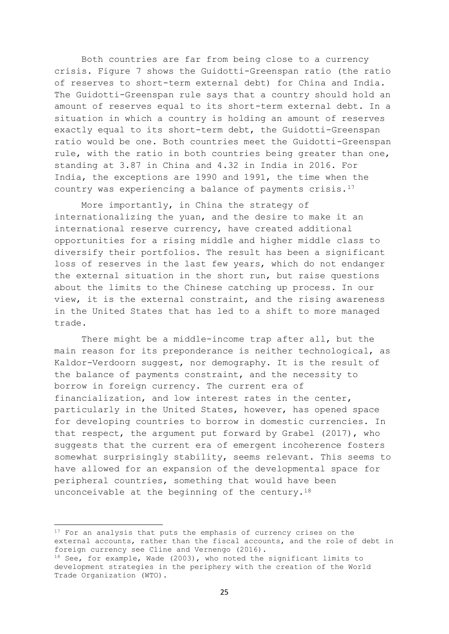Both countries are far from being close to a currency crisis. Figure 7 shows the Guidotti-Greenspan ratio (the ratio of reserves to short-term external debt) for China and India. The Guidotti-Greenspan rule says that a country should hold an amount of reserves equal to its short-term external debt. In a situation in which a country is holding an amount of reserves exactly equal to its short-term debt, the Guidotti-Greenspan ratio would be one. Both countries meet the Guidotti-Greenspan rule, with the ratio in both countries being greater than one, standing at 3.87 in China and 4.32 in India in 2016. For India, the exceptions are 1990 and 1991, the time when the country was experiencing a balance of payments crisis.<sup>17</sup>

More importantly, in China the strategy of internationalizing the yuan, and the desire to make it an international reserve currency, have created additional opportunities for a rising middle and higher middle class to diversify their portfolios. The result has been a significant loss of reserves in the last few years, which do not endanger the external situation in the short run, but raise questions about the limits to the Chinese catching up process. In our view, it is the external constraint, and the rising awareness in the United States that has led to a shift to more managed trade.

There might be a middle-income trap after all, but the main reason for its preponderance is neither technological, as Kaldor-Verdoorn suggest, nor demography. It is the result of the balance of payments constraint, and the necessity to borrow in foreign currency. The current era of financialization, and low interest rates in the center, particularly in the United States, however, has opened space for developing countries to borrow in domestic currencies. In that respect, the argument put forward by Grabel (2017), who suggests that the current era of emergent incoherence fosters somewhat surprisingly stability, seems relevant. This seems to have allowed for an expansion of the developmental space for peripheral countries, something that would have been unconceivable at the beginning of the century.<sup>18</sup>

1

<sup>&</sup>lt;sup>17</sup> For an analysis that puts the emphasis of currency crises on the external accounts, rather than the fiscal accounts, and the role of debt in foreign currency see Cline and Vernengo (2016).

<sup>18</sup> See, for example, Wade (2003), who noted the significant limits to development strategies in the periphery with the creation of the World Trade Organization (WTO).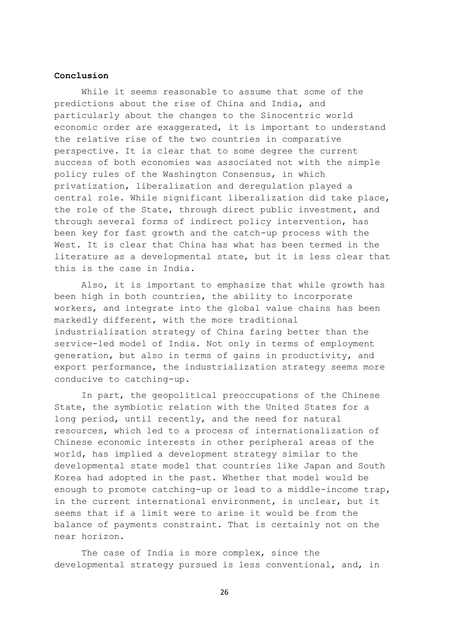#### **Conclusion**

While it seems reasonable to assume that some of the predictions about the rise of China and India, and particularly about the changes to the Sinocentric world economic order are exaggerated, it is important to understand the relative rise of the two countries in comparative perspective. It is clear that to some degree the current success of both economies was associated not with the simple policy rules of the Washington Consensus, in which privatization, liberalization and deregulation played a central role. While significant liberalization did take place, the role of the State, through direct public investment, and through several forms of indirect policy intervention, has been key for fast growth and the catch-up process with the West. It is clear that China has what has been termed in the literature as a developmental state, but it is less clear that this is the case in India.

Also, it is important to emphasize that while growth has been high in both countries, the ability to incorporate workers, and integrate into the global value chains has been markedly different, with the more traditional industrialization strategy of China faring better than the service-led model of India. Not only in terms of employment generation, but also in terms of gains in productivity, and export performance, the industrialization strategy seems more conducive to catching-up.

In part, the geopolitical preoccupations of the Chinese State, the symbiotic relation with the United States for a long period, until recently, and the need for natural resources, which led to a process of internationalization of Chinese economic interests in other peripheral areas of the world, has implied a development strategy similar to the developmental state model that countries like Japan and South Korea had adopted in the past. Whether that model would be enough to promote catching-up or lead to a middle-income trap, in the current international environment, is unclear, but it seems that if a limit were to arise it would be from the balance of payments constraint. That is certainly not on the near horizon.

The case of India is more complex, since the developmental strategy pursued is less conventional, and, in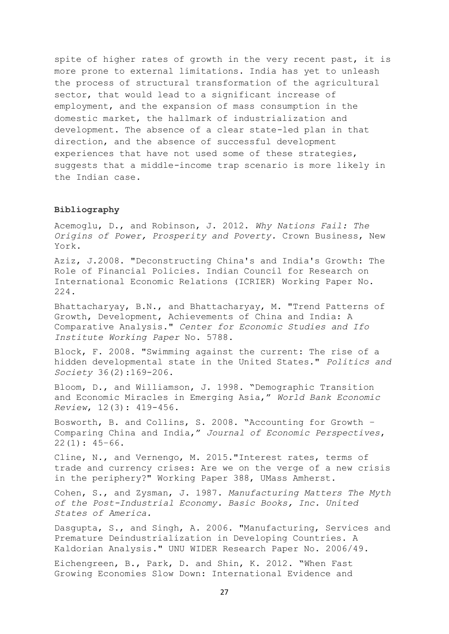spite of higher rates of growth in the very recent past, it is more prone to external limitations. India has yet to unleash the process of structural transformation of the agricultural sector, that would lead to a significant increase of employment, and the expansion of mass consumption in the domestic market, the hallmark of industrialization and development. The absence of a clear state-led plan in that direction, and the absence of successful development experiences that have not used some of these strategies, suggests that a middle-income trap scenario is more likely in the Indian case.

#### **Bibliography**

Acemoglu, D., and Robinson, J. 2012. *Why Nations Fail: The Origins of Power, Prosperity and Poverty.* Crown Business, New York.

Aziz, J.2008. "Deconstructing China's and India's Growth: The Role of Financial Policies. Indian Council for Research on International Economic Relations (ICRIER) Working Paper No. 224.

Bhattacharyay, B.N., and Bhattacharyay, M. "Trend Patterns of Growth, Development, Achievements of China and India: A Comparative Analysis." *Center for Economic Studies and Ifo Institute Working Paper* No. 5788.

Block, F. 2008. "Swimming against the current: The rise of a hidden developmental state in the United States." *Politics and Society* 36(2):169-206.

Bloom, D., and Williamson, J. 1998. "Demographic Transition and Economic Miracles in Emerging Asia," *World Bank Economic Review*, 12(3): 419-456.

Bosworth, B. and Collins, S. 2008. "Accounting for Growth – Comparing China and India," *Journal of Economic Perspectives*,  $22(1): 45-66.$ 

Cline, N., and Vernengo, M. 2015."Interest rates, terms of trade and currency crises: Are we on the verge of a new crisis in the periphery?" Working Paper 388, UMass Amherst.

Cohen, S., and Zysman, J. 1987. *Manufacturing Matters The Myth of the Post-Industrial Economy. Basic Books, Inc. United States of America.* 

Dasgupta, S., and Singh, A. 2006. "Manufacturing, Services and Premature Deindustrialization in Developing Countries. A Kaldorian Analysis." UNU WIDER Research Paper No. 2006/49.

Eichengreen, B., Park, D. and Shin, K. 2012. "When Fast Growing Economies Slow Down: International Evidence and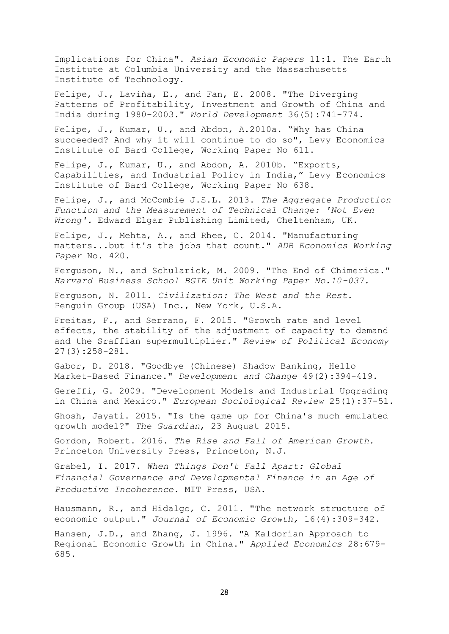Implications for China". *Asian Economic Papers* 11:1. The Earth Institute at Columbia University and the Massachusetts Institute of Technology.

Felipe, J., Laviña, E., and Fan, E. 2008. "The Diverging Patterns of Profitability, Investment and Growth of China and India during 1980-2003." *World Development* 36(5):741-774.

Felipe, J., Kumar, U., and Abdon, A.2010a. "Why has China succeeded? And why it will continue to do so", Levy Economics Institute of Bard College, Working Paper No 611.

Felipe, J., Kumar, U., and Abdon, A. 2010b. "Exports, Capabilities, and Industrial Policy in India," Levy Economics Institute of Bard College, Working Paper No 638.

Felipe, J., and McCombie J.S.L. 2013. *The Aggregate Production Function and the Measurement of Technical Change: 'Not Even Wrong'.* Edward Elgar Publishing Limited, Cheltenham, UK.

Felipe, J., Mehta, A., and Rhee, C. 2014. "Manufacturing matters...but it's the jobs that count." *ADB Economics Working Paper* No. 420.

Ferguson, N., and Schularick, M. 2009. "The End of Chimerica." *Harvard Business School BGIE Unit Working Paper No.10-037.*

Ferguson, N. 2011. *Civilization: The West and the Rest.*  Penguin Group (USA) Inc., New York*,* U.S.A.

Freitas, F., and Serrano, F. 2015. "Growth rate and level effects, the stability of the adjustment of capacity to demand and the Sraffian supermultiplier." *Review of Political Economy*  27(3):258-281.

Gabor, D. 2018. "Goodbye (Chinese) Shadow Banking, Hello Market-Based Finance." *Development and Change* 49(2):394-419.

Gereffi, G. 2009. "Development Models and Industrial Upgrading in China and Mexico." *European Sociological Review* 25(1):37-51.

Ghosh, Jayati. 2015. "Is the game up for China's much emulated growth model?" *The Guardian*, 23 August 2015.

Gordon, Robert. 2016. *The Rise and Fall of American Growth.*  Princeton University Press, Princeton, N.J.

Grabel, I. 2017. *When Things Don't Fall Apart: Global Financial Governance and Developmental Finance in an Age of Productive Incoherence.* MIT Press, USA.

Hausmann, R., and Hidalgo, C. 2011. "The network structure of economic output." *Journal of Economic Growth,* 16(4):309-342.

Hansen, J.D., and Zhang, J. 1996. "A Kaldorian Approach to Regional Economic Growth in China." *Applied Economics* 28:679- 685.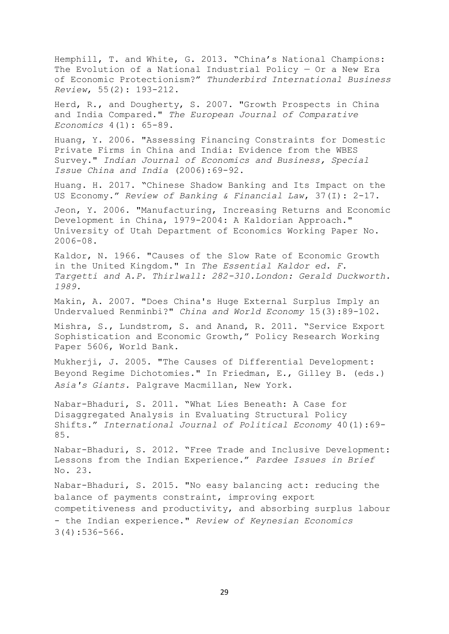Hemphill, T. and White, G. 2013. "China's National Champions: The Evolution of a National Industrial Policy — Or a New Era of Economic Protectionism?" *Thunderbird International Business Review*, 55(2): 193-212.

Herd, R., and Dougherty, S. 2007. "Growth Prospects in China and India Compared." *The European Journal of Comparative Economics* 4(1): 65-89.

Huang, Y. 2006. "Assessing Financing Constraints for Domestic Private Firms in China and India: Evidence from the WBES Survey." *Indian Journal of Economics and Business, Special Issue China and India* (2006):69-92.

Huang. H. 2017. "Chinese Shadow Banking and Its Impact on the US Economy." *Review of Banking & Financial Law*, 37(I): 2-17.

Jeon, Y. 2006. "Manufacturing, Increasing Returns and Economic Development in China, 1979-2004: A Kaldorian Approach." University of Utah Department of Economics Working Paper No. 2006-08.

Kaldor, N. 1966. "Causes of the Slow Rate of Economic Growth in the United Kingdom." In *The Essential Kaldor ed. F. Targetti and A.P. Thirlwall: 282-310.London: Gerald Duckworth. 1989.*

Makin, A. 2007. "Does China's Huge External Surplus Imply an Undervalued Renminbi?" *China and World Economy* 15(3):89-102.

Mishra, S., Lundstrom, S. and Anand, R. 2011. "Service Export Sophistication and Economic Growth," Policy Research Working Paper 5606, World Bank.

Mukherji, J. 2005. "The Causes of Differential Development: Beyond Regime Dichotomies." In Friedman, E., Gilley B. (eds.) *Asia's Giants.* Palgrave Macmillan, New York.

Nabar-Bhaduri, S. 2011. "What Lies Beneath: A Case for Disaggregated Analysis in Evaluating Structural Policy Shifts." *International Journal of Political Economy* 40(1):69- 85.

Nabar-Bhaduri, S. 2012. "Free Trade and Inclusive Development: Lessons from the Indian Experience." *Pardee Issues in Brief* No. 23.

Nabar-Bhaduri, S. 2015. "No easy balancing act: reducing the balance of payments constraint, improving export competitiveness and productivity, and absorbing surplus labour - the Indian experience." *Review of Keynesian Economics*  3(4):536-566.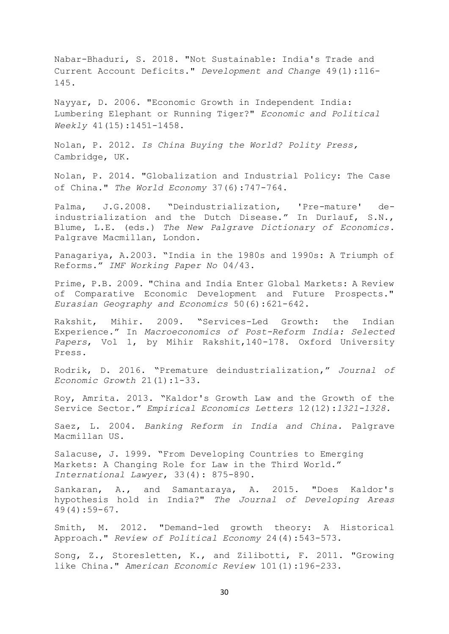Nabar-Bhaduri, S. 2018. "Not Sustainable: India's Trade and Current Account Deficits." *Development and Change* 49(1):116- 145.

Nayyar, D. 2006. "Economic Growth in Independent India: Lumbering Elephant or Running Tiger?" *Economic and Political Weekly* 41(15):1451-1458.

Nolan, P. 2012. *Is China Buying the World? Polity Press,*  Cambridge, UK.

Nolan, P. 2014. "Globalization and Industrial Policy: The Case of China." *The World Economy* 37(6):747-764.

Palma, J.G.2008. "Deindustrialization, 'Pre-mature' deindustrialization and the Dutch Disease." In Durlauf, S.N., Blume, L.E. (eds.) *The New Palgrave Dictionary of Economics*. Palgrave Macmillan, London.

Panagariya, A.2003. "India in the 1980s and 1990s: A Triumph of Reforms." *IMF Working Paper No* 04/43.

Prime, P.B. 2009. "China and India Enter Global Markets: A Review of Comparative Economic Development and Future Prospects." *Eurasian Geography and Economics* 50(6):621-642.

Rakshit, Mihir. 2009. "Services-Led Growth: the Indian Experience." In *Macroeconomics of Post-Reform India: Selected Papers*, Vol 1, by Mihir Rakshit,140-178. Oxford University Press.

Rodrik, D. 2016. "Premature deindustrialization," *Journal of Economic Growth* 21(1):1-33.

Roy, Amrita. 2013. "Kaldor's Growth Law and the Growth of the Service Sector." *Empirical Economics Letters* 12(12):*1321-1328.*

Saez, L. 2004. *Banking Reform in India and China.* Palgrave Macmillan US.

Salacuse, J. 1999. "From Developing Countries to Emerging Markets: A Changing Role for Law in the Third World." *International Lawyer*, 33(4): 875-890.

Sankaran, A., and Samantaraya, A. 2015. "Does Kaldor's hypothesis hold in India?" *The Journal of Developing Areas*  49(4):59-67.

Smith, M. 2012. "Demand-led growth theory: A Historical Approach." *Review of Political Economy* 24(4):543-573.

Song, Z., Storesletten, K., and Zilibotti, F. 2011. "Growing like China." *American Economic Review* 101(1):196-233.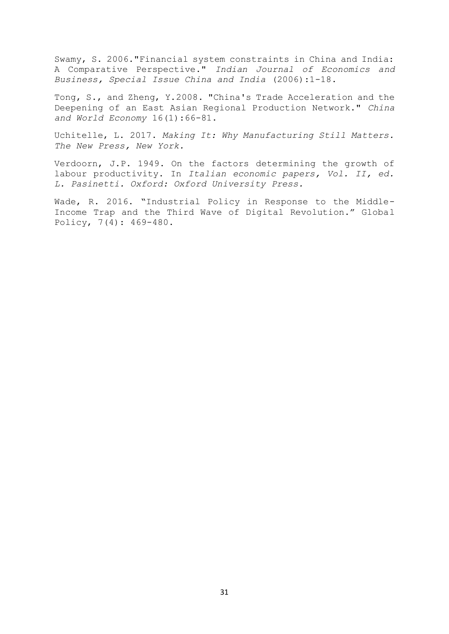Swamy, S. 2006."Financial system constraints in China and India: A Comparative Perspective." *Indian Journal of Economics and Business, Special Issue China and India* (2006):1-18.

Tong, S., and Zheng, Y.2008. "China's Trade Acceleration and the Deepening of an East Asian Regional Production Network." *China and World Economy* 16(1):66-81.

Uchitelle, L. 2017. *Making It: Why Manufacturing Still Matters. The New Press, New York.* 

Verdoorn, J.P. 1949. On the factors determining the growth of labour productivity. In *Italian economic papers, Vol. II, ed. L. Pasinetti. Oxford: Oxford University Press.*

Wade, R. 2016. "Industrial Policy in Response to the Middle-Income Trap and the Third Wave of Digital Revolution." Global Policy, 7(4): 469-480.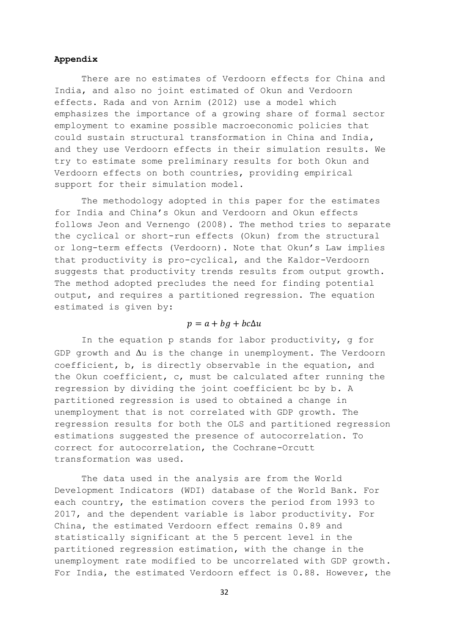#### **Appendix**

There are no estimates of Verdoorn effects for China and India, and also no joint estimated of Okun and Verdoorn effects. Rada and von Arnim (2012) use a model which emphasizes the importance of a growing share of formal sector employment to examine possible macroeconomic policies that could sustain structural transformation in China and India, and they use Verdoorn effects in their simulation results. We try to estimate some preliminary results for both Okun and Verdoorn effects on both countries, providing empirical support for their simulation model.

The methodology adopted in this paper for the estimates for India and China's Okun and Verdoorn and Okun effects follows Jeon and Vernengo (2008). The method tries to separate the cyclical or short-run effects (Okun) from the structural or long-term effects (Verdoorn). Note that Okun's Law implies that productivity is pro-cyclical, and the Kaldor-Verdoorn suggests that productivity trends results from output growth. The method adopted precludes the need for finding potential output, and requires a partitioned regression. The equation estimated is given by:

#### $p = a + bg + bc\Delta u$

In the equation p stands for labor productivity, g for GDP growth and  $\Delta u$  is the change in unemployment. The Verdoorn coefficient, b, is directly observable in the equation, and the Okun coefficient, c, must be calculated after running the regression by dividing the joint coefficient bc by b. A partitioned regression is used to obtained a change in unemployment that is not correlated with GDP growth. The regression results for both the OLS and partitioned regression estimations suggested the presence of autocorrelation. To correct for autocorrelation, the Cochrane-Orcutt transformation was used.

The data used in the analysis are from the World Development Indicators (WDI) database of the World Bank. For each country, the estimation covers the period from 1993 to 2017, and the dependent variable is labor productivity. For China, the estimated Verdoorn effect remains 0.89 and statistically significant at the 5 percent level in the partitioned regression estimation, with the change in the unemployment rate modified to be uncorrelated with GDP growth. For India, the estimated Verdoorn effect is 0.88. However, the